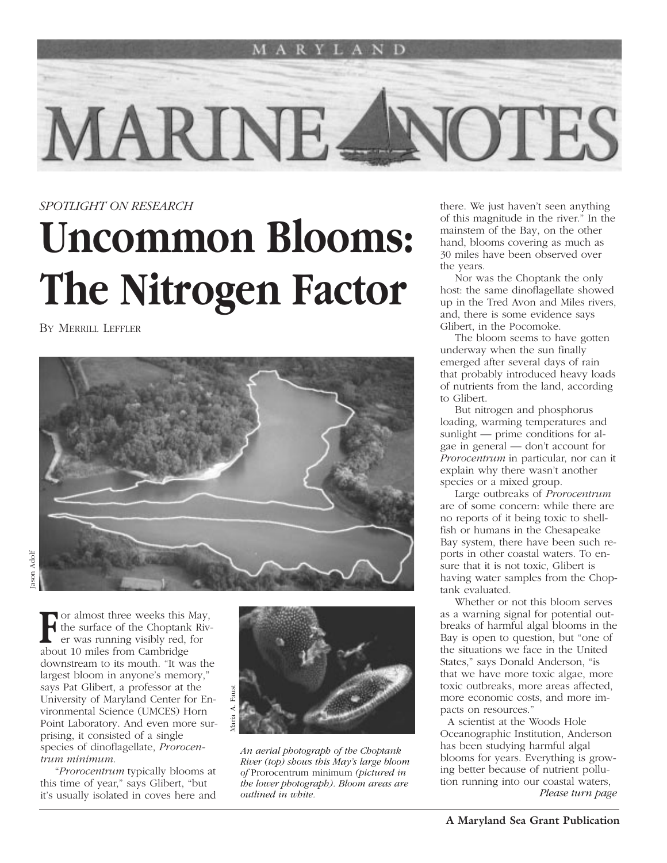

### *SPOTLIGHT ON RESEARCH*

# **Uncommon Blooms: The Nitrogen Factor**

BY MERRILL LEFFLER



**For almost three weeks this May,**<br>
er was running visibly red, for<br>
showt 10 miles from Combridge the surface of the Choptank Rivabout 10 miles from Cambridge downstream to its mouth. "It was the largest bloom in anyone's memory," says Pat Glibert, a professor at the University of Maryland Center for Environmental Science (UMCES) Horn Point Laboratory. And even more surprising, it consisted of a single species of dinoflagellate, *Prorocentrum minimum*.

"*Prorocentrum* typically blooms at this time of year," says Glibert, "but it's usually isolated in coves here and



*An aerial photograph of the Choptank River (top) shows this May's large bloom of* Prorocentrum minimum *(pictured in the lower photograph). Bloom areas are*

there. We just haven't seen anything of this magnitude in the river." In the mainstem of the Bay, on the other hand, blooms covering as much as 30 miles have been observed over the years.

Nor was the Choptank the only host: the same dinoflagellate showed up in the Tred Avon and Miles rivers, and, there is some evidence says Glibert, in the Pocomoke.

The bloom seems to have gotten underway when the sun finally emerged after several days of rain that probably introduced heavy loads of nutrients from the land, according to Glibert.

But nitrogen and phosphorus loading, warming temperatures and sunlight — prime conditions for algae in general — don't account for *Prorocentrum* in particular, nor can it explain why there wasn't another species or a mixed group.

Large outbreaks of *Prorocentrum* are of some concern: while there are no reports of it being toxic to shellfish or humans in the Chesapeake Bay system, there have been such reports in other coastal waters. To ensure that it is not toxic, Glibert is having water samples from the Choptank evaluated.

Whether or not this bloom serves as a warning signal for potential outbreaks of harmful algal blooms in the Bay is open to question, but "one of the situations we face in the United States," says Donald Anderson, "is that we have more toxic algae, more toxic outbreaks, more areas affected, more economic costs, and more impacts on resources."

A scientist at the Woods Hole Oceanographic Institution, Anderson has been studying harmful algal blooms for years. Everything is growing better because of nutrient pollution running into our coastal waters, *Please turn page*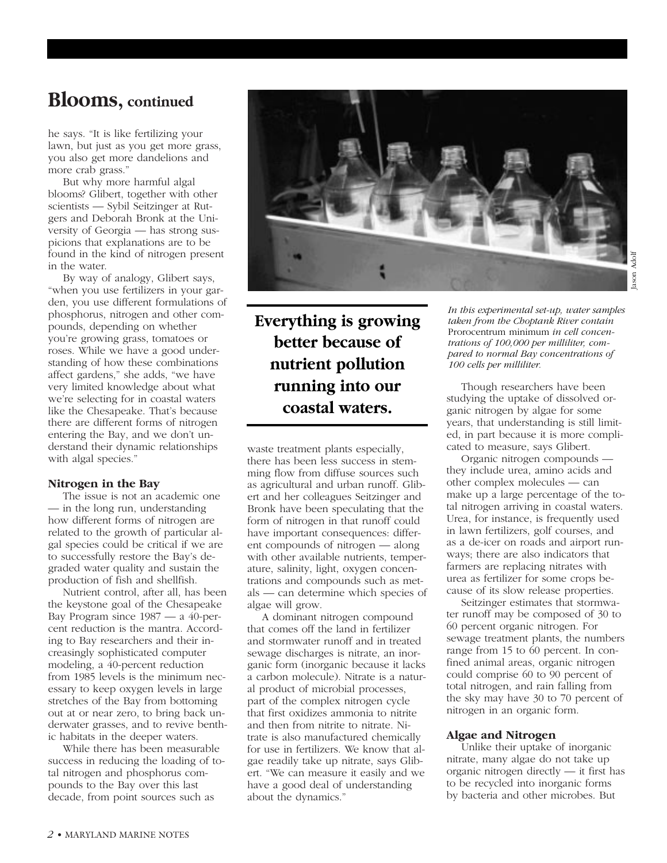### **Blooms, continued**

he says. "It is like fertilizing your lawn, but just as you get more grass, you also get more dandelions and more crab grass."

But why more harmful algal blooms? Glibert, together with other scientists — Sybil Seitzinger at Rutgers and Deborah Bronk at the University of Georgia — has strong suspicions that explanations are to be found in the kind of nitrogen present in the water.

By way of analogy, Glibert says, "when you use fertilizers in your garden, you use different formulations of phosphorus, nitrogen and other compounds, depending on whether you're growing grass, tomatoes or roses. While we have a good understanding of how these combinations affect gardens," she adds, "we have very limited knowledge about what we're selecting for in coastal waters like the Chesapeake. That's because there are different forms of nitrogen entering the Bay, and we don't understand their dynamic relationships with algal species."

#### **Nitrogen in the Bay**

The issue is not an academic one — in the long run, understanding how different forms of nitrogen are related to the growth of particular algal species could be critical if we are to successfully restore the Bay's degraded water quality and sustain the production of fish and shellfish.

Nutrient control, after all, has been the keystone goal of the Chesapeake Bay Program since 1987 — a 40-percent reduction is the mantra. According to Bay researchers and their increasingly sophisticated computer modeling, a 40-percent reduction from 1985 levels is the minimum necessary to keep oxygen levels in large stretches of the Bay from bottoming out at or near zero, to bring back underwater grasses, and to revive benthic habitats in the deeper waters.

While there has been measurable success in reducing the loading of total nitrogen and phosphorus compounds to the Bay over this last decade, from point sources such as



### **Everything is growing better because of nutrient pollution running into our coastal waters.**

waste treatment plants especially, there has been less success in stemming flow from diffuse sources such as agricultural and urban runoff. Glibert and her colleagues Seitzinger and Bronk have been speculating that the form of nitrogen in that runoff could have important consequences: different compounds of nitrogen — along with other available nutrients, temperature, salinity, light, oxygen concentrations and compounds such as metals — can determine which species of algae will grow.

A dominant nitrogen compound that comes off the land in fertilizer and stormwater runoff and in treated sewage discharges is nitrate, an inorganic form (inorganic because it lacks a carbon molecule). Nitrate is a natural product of microbial processes, part of the complex nitrogen cycle that first oxidizes ammonia to nitrite and then from nitrite to nitrate. Nitrate is also manufactured chemically for use in fertilizers. We know that algae readily take up nitrate, says Glibert. "We can measure it easily and we have a good deal of understanding about the dynamics."

*In this experimental set-up, water samples taken from the Choptank River contain* Prorocentrum minimum *in cell concentrations of 100,000 per milliliter, compared to normal Bay concentrations of 100 cells per milliliter.* 

Though researchers have been studying the uptake of dissolved organic nitrogen by algae for some years, that understanding is still limited, in part because it is more complicated to measure, says Glibert.

Organic nitrogen compounds they include urea, amino acids and other complex molecules — can make up a large percentage of the total nitrogen arriving in coastal waters. Urea, for instance, is frequently used in lawn fertilizers, golf courses, and as a de-icer on roads and airport runways; there are also indicators that farmers are replacing nitrates with urea as fertilizer for some crops because of its slow release properties.

Seitzinger estimates that stormwater runoff may be composed of 30 to 60 percent organic nitrogen. For sewage treatment plants, the numbers range from 15 to 60 percent. In confined animal areas, organic nitrogen could comprise 60 to 90 percent of total nitrogen, and rain falling from the sky may have 30 to 70 percent of nitrogen in an organic form.

#### **Algae and Nitrogen**

Unlike their uptake of inorganic nitrate, many algae do not take up organic nitrogen directly — it first has to be recycled into inorganic forms by bacteria and other microbes. But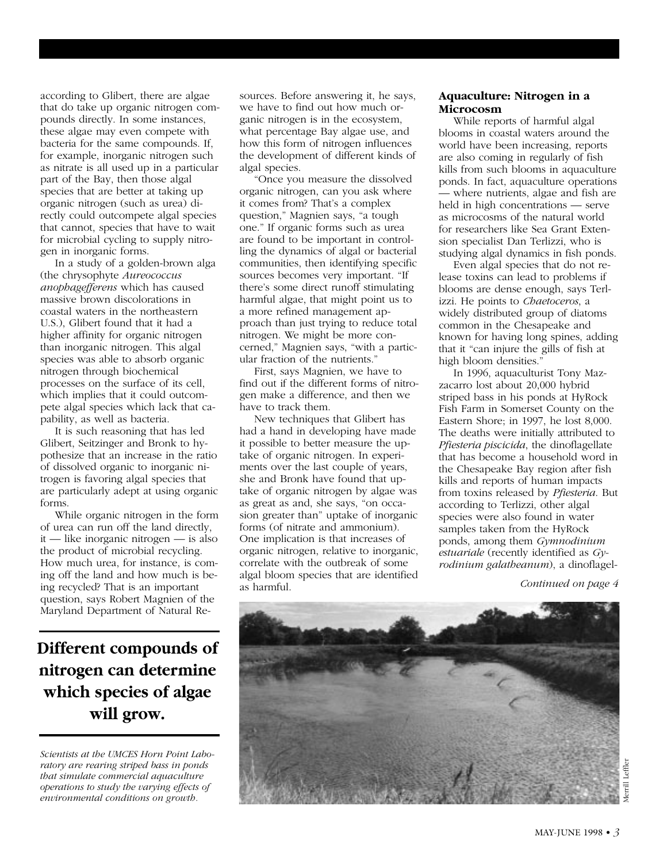according to Glibert, there are algae that do take up organic nitrogen compounds directly. In some instances, these algae may even compete with bacteria for the same compounds. If, for example, inorganic nitrogen such as nitrate is all used up in a particular part of the Bay, then those algal species that are better at taking up organic nitrogen (such as urea) directly could outcompete algal species that cannot, species that have to wait for microbial cycling to supply nitrogen in inorganic forms.

In a study of a golden-brown alga (the chrysophyte *Aureococcus anophagefferens* which has caused massive brown discolorations in coastal waters in the northeastern U.S.), Glibert found that it had a higher affinity for organic nitrogen than inorganic nitrogen. This algal species was able to absorb organic nitrogen through biochemical processes on the surface of its cell, which implies that it could outcompete algal species which lack that capability, as well as bacteria.

It is such reasoning that has led Glibert, Seitzinger and Bronk to hypothesize that an increase in the ratio of dissolved organic to inorganic nitrogen is favoring algal species that are particularly adept at using organic forms.

While organic nitrogen in the form of urea can run off the land directly, it — like inorganic nitrogen — is also the product of microbial recycling. How much urea, for instance, is coming off the land and how much is being recycled? That is an important question, says Robert Magnien of the Maryland Department of Natural Re-

**Different compounds of nitrogen can determine which species of algae will grow.**

*Scientists at the UMCES Horn Point Laboratory are rearing striped bass in ponds that simulate commercial aquaculture operations to study the varying effects of environmental conditions on growth.*

sources. Before answering it, he says, we have to find out how much organic nitrogen is in the ecosystem, what percentage Bay algae use, and how this form of nitrogen influences the development of different kinds of algal species.

"Once you measure the dissolved organic nitrogen, can you ask where it comes from? That's a complex question," Magnien says, "a tough one." If organic forms such as urea are found to be important in controlling the dynamics of algal or bacterial communities, then identifying specific sources becomes very important. "If there's some direct runoff stimulating harmful algae, that might point us to a more refined management approach than just trying to reduce total nitrogen. We might be more concerned," Magnien says, "with a particular fraction of the nutrients."

First, says Magnien, we have to find out if the different forms of nitrogen make a difference, and then we have to track them.

New techniques that Glibert has had a hand in developing have made it possible to better measure the uptake of organic nitrogen. In experiments over the last couple of years, she and Bronk have found that uptake of organic nitrogen by algae was as great as and, she says, "on occasion greater than" uptake of inorganic forms (of nitrate and ammonium). One implication is that increases of organic nitrogen, relative to inorganic, correlate with the outbreak of some algal bloom species that are identified as harmful.

### **Aquaculture: Nitrogen in a Microcosm**

While reports of harmful algal blooms in coastal waters around the world have been increasing, reports are also coming in regularly of fish kills from such blooms in aquaculture ponds. In fact, aquaculture operations where nutrients, algae and fish are held in high concentrations — serve as microcosms of the natural world for researchers like Sea Grant Extension specialist Dan Terlizzi, who is studying algal dynamics in fish ponds.

Even algal species that do not release toxins can lead to problems if blooms are dense enough, says Terlizzi. He points to *Chaetoceros*, a widely distributed group of diatoms common in the Chesapeake and known for having long spines, adding that it "can injure the gills of fish at high bloom densities."

In 1996, aquaculturist Tony Mazzacarro lost about 20,000 hybrid striped bass in his ponds at HyRock Fish Farm in Somerset County on the Eastern Shore; in 1997, he lost 8,000. The deaths were initially attributed to *Pfiesteria piscicida*, the dinoflagellate that has become a household word in the Chesapeake Bay region after fish kills and reports of human impacts from toxins released by *Pfiesteria*. But according to Terlizzi, other algal species were also found in water samples taken from the HyRock ponds, among them *Gymnodinium estuariale* (recently identified as *Gyrodinium galatheanum*), a dinoflagel-

*Continued on page 4*

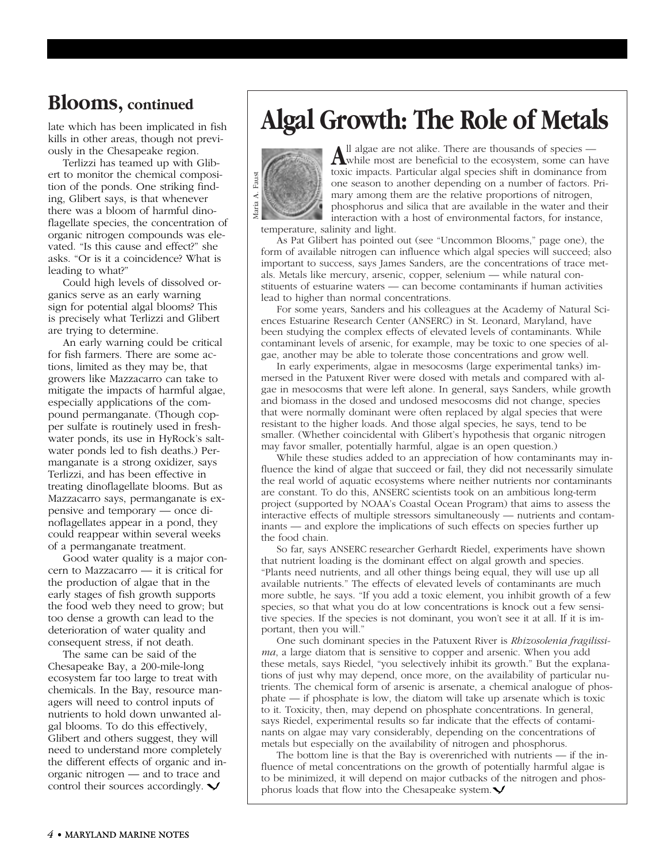# **Blooms, continued**

late which has been implicated in fish kills in other areas, though not previously in the Chesapeake region.

Terlizzi has teamed up with Glibert to monitor the chemical composition of the ponds. One striking finding, Glibert says, is that whenever there was a bloom of harmful dinoflagellate species, the concentration of organic nitrogen compounds was elevated. "Is this cause and effect?" she asks. "Or is it a coincidence? What is leading to what?"

Could high levels of dissolved organics serve as an early warning sign for potential algal blooms? This is precisely what Terlizzi and Glibert are trying to determine.

An early warning could be critical for fish farmers. There are some actions, limited as they may be, that growers like Mazzacarro can take to mitigate the impacts of harmful algae, especially applications of the compound permanganate. (Though copper sulfate is routinely used in freshwater ponds, its use in HyRock's saltwater ponds led to fish deaths.) Permanganate is a strong oxidizer, says Terlizzi, and has been effective in treating dinoflagellate blooms. But as Mazzacarro says, permanganate is expensive and temporary — once dinoflagellates appear in a pond, they could reappear within several weeks of a permanganate treatment.

Good water quality is a major concern to Mazzacarro — it is critical for the production of algae that in the early stages of fish growth supports the food web they need to grow; but too dense a growth can lead to the deterioration of water quality and consequent stress, if not death.

The same can be said of the Chesapeake Bay, a 200-mile-long ecosystem far too large to treat with chemicals. In the Bay, resource managers will need to control inputs of nutrients to hold down unwanted algal blooms. To do this effectively, Glibert and others suggest, they will need to understand more completely the different effects of organic and inorganic nitrogen — and to trace and control their sources accordingly.  $\blacktriangleright$ 

# **Algal Growth: The Role of Metals**



All algae are not alike. There are thousands of species —<br>while most are beneficial to the ecosystem, some can have toxic impacts. Particular algal species shift in dominance from one season to another depending on a number of factors. Primary among them are the relative proportions of nitrogen, phosphorus and silica that are available in the water and their interaction with a host of environmental factors, for instance,

temperature, salinity and light.

As Pat Glibert has pointed out (see "Uncommon Blooms," page one), the form of available nitrogen can influence which algal species will succeed; also important to success, says James Sanders, are the concentrations of trace metals. Metals like mercury, arsenic, copper, selenium — while natural constituents of estuarine waters — can become contaminants if human activities lead to higher than normal concentrations.

For some years, Sanders and his colleagues at the Academy of Natural Sciences Estuarine Research Center (ANSERC) in St. Leonard, Maryland, have been studying the complex effects of elevated levels of contaminants. While contaminant levels of arsenic, for example, may be toxic to one species of algae, another may be able to tolerate those concentrations and grow well.

In early experiments, algae in mesocosms (large experimental tanks) immersed in the Patuxent River were dosed with metals and compared with algae in mesocosms that were left alone. In general, says Sanders, while growth and biomass in the dosed and undosed mesocosms did not change, species that were normally dominant were often replaced by algal species that were resistant to the higher loads. And those algal species, he says, tend to be smaller. (Whether coincidental with Glibert's hypothesis that organic nitrogen may favor smaller, potentially harmful, algae is an open question.)

While these studies added to an appreciation of how contaminants may influence the kind of algae that succeed or fail, they did not necessarily simulate the real world of aquatic ecosystems where neither nutrients nor contaminants are constant. To do this, ANSERC scientists took on an ambitious long-term project (supported by NOAA's Coastal Ocean Program) that aims to assess the interactive effects of multiple stressors simultaneously — nutrients and contaminants — and explore the implications of such effects on species further up the food chain.

So far, says ANSERC researcher Gerhardt Riedel, experiments have shown that nutrient loading is the dominant effect on algal growth and species. "Plants need nutrients, and all other things being equal, they will use up all available nutrients." The effects of elevated levels of contaminants are much more subtle, he says. "If you add a toxic element, you inhibit growth of a few species, so that what you do at low concentrations is knock out a few sensitive species. If the species is not dominant, you won't see it at all. If it is important, then you will."

One such dominant species in the Patuxent River is *Rhizosolenia fragilissima*, a large diatom that is sensitive to copper and arsenic. When you add these metals, says Riedel, "you selectively inhibit its growth." But the explanations of just why may depend, once more, on the availability of particular nutrients. The chemical form of arsenic is arsenate, a chemical analogue of phosphate — if phosphate is low, the diatom will take up arsenate which is toxic to it. Toxicity, then, may depend on phosphate concentrations. In general, says Riedel, experimental results so far indicate that the effects of contaminants on algae may vary considerably, depending on the concentrations of metals but especially on the availability of nitrogen and phosphorus.

The bottom line is that the Bay is overenriched with nutrients — if the influence of metal concentrations on the growth of potentially harmful algae is to be minimized, it will depend on major cutbacks of the nitrogen and phosphorus loads that flow into the Chesapeake system. $\blacktriangleright$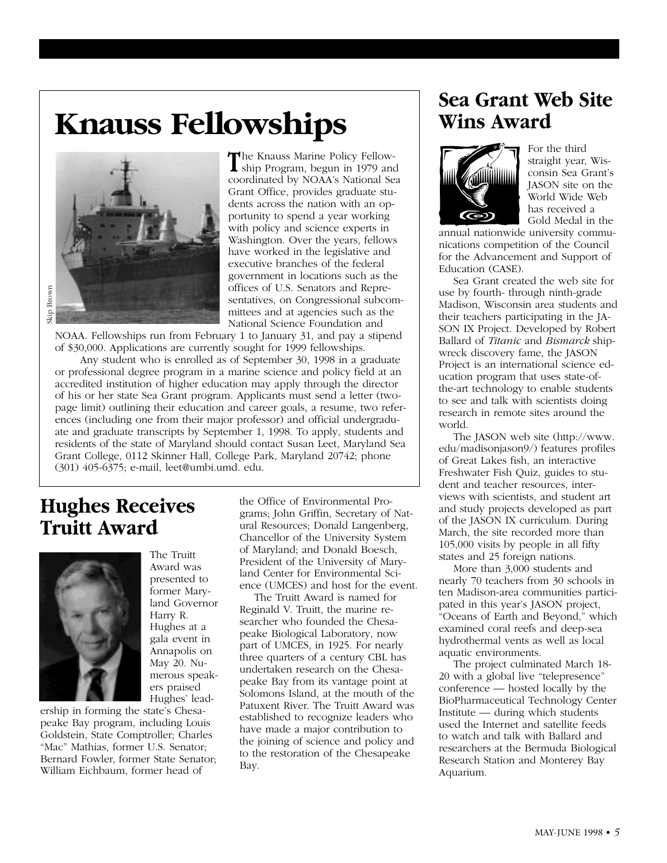# **Knauss Fellowships**



**T**he Knauss Marine Policy Fellow-ship Program, begun in 1979 and coordinated by NOAA's National Sea Grant Office, provides graduate students across the nation with an opportunity to spend a year working with policy and science experts in Washington. Over the years, fellows have worked in the legislative and executive branches of the federal government in locations such as the offices of U.S. Senators and Representatives, on Congressional subcommittees and at agencies such as the National Science Foundation and

NOAA. Fellowships run from February 1 to January 31, and pay a stipend of \$30,000. Applications are currently sought for 1999 fellowships.

Any student who is enrolled as of September 30, 1998 in a graduate or professional degree program in a marine science and policy field at an accredited institution of higher education may apply through the director of his or her state Sea Grant program. Applicants must send a letter (twopage limit) outlining their education and career goals, a resume, two references (including one from their major professor) and official undergraduate and graduate transcripts by September 1, 1998. To apply, students and residents of the state of Maryland should contact Susan Leet, Maryland Sea Grant College, 0112 Skinner Hall, College Park, Maryland 20742; phone (301) 405-6375; e-mail, leet@umbi.umd. edu.

# **Hughes Receives Truitt Award**



The Truitt Award was presented to former Maryland Governor Harry R. Hughes at a gala event in Annapolis on May 20. Numerous speakers praised Hughes' lead-

ership in forming the state's Chesapeake Bay program, including Louis Goldstein, State Comptroller; Charles "Mac" Mathias, former U.S. Senator; Bernard Fowler, former State Senator; William Eichbaum, former head of

the Office of Environmental Programs; John Griffin, Secretary of Natural Resources; Donald Langenberg, Chancellor of the University System of Maryland; and Donald Boesch, President of the University of Maryland Center for Environmental Science (UMCES) and host for the event.

The Truitt Award is named for Reginald V. Truitt, the marine researcher who founded the Chesapeake Biological Laboratory, now part of UMCES, in 1925. For nearly three quarters of a century CBL has undertaken research on the Chesapeake Bay from its vantage point at Solomons Island, at the mouth of the Patuxent River. The Truitt Award was established to recognize leaders who have made a major contribution to the joining of science and policy and to the restoration of the Chesapeake Bay.

# **Sea Grant Web Site Wins Award**



For the third straight year, Wisconsin Sea Grant's JASON site on the World Wide Web has received a Gold Medal in the

annual nationwide university communications competition of the Council for the Advancement and Support of Education (CASE).

Sea Grant created the web site for use by fourth- through ninth-grade Madison, Wisconsin area students and their teachers participating in the JA-SON IX Project. Developed by Robert Ballard of *Titanic* and *Bismarck* shipwreck discovery fame, the JASON Project is an international science education program that uses state-ofthe-art technology to enable students to see and talk with scientists doing research in remote sites around the world.

The JASON web site (http://www. edu/madisonjason9/) features profiles of Great Lakes fish, an interactive Freshwater Fish Quiz, guides to student and teacher resources, interviews with scientists, and student art and study projects developed as part of the JASON IX curriculum. During March, the site recorded more than 105,000 visits by people in all fifty states and 25 foreign nations.

More than 3,000 students and nearly 70 teachers from 30 schools in ten Madison-area communities participated in this year's JASON project, "Oceans of Earth and Beyond," which examined coral reefs and deep-sea hydrothermal vents as well as local aquatic environments.

The project culminated March 18- 20 with a global live "telepresence" conference — hosted locally by the BioPharmaceutical Technology Center Institute — during which students used the Internet and satellite feeds to watch and talk with Ballard and researchers at the Bermuda Biological Research Station and Monterey Bay Aquarium.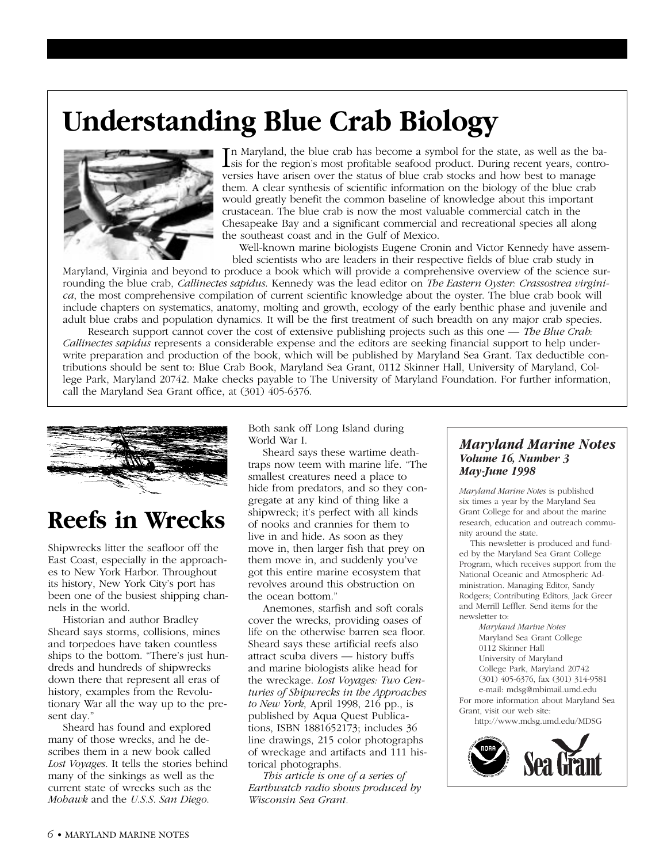# **Understanding Blue Crab Biology**



In Maryland, the blue crab has become a symbol for the state, as well as the ba-<br>sis for the region's most profitable seafood product. During recent years, contro-<br>provided have proposed to the state of blue and have been sis for the region's most profitable seafood product. During recent years, controversies have arisen over the status of blue crab stocks and how best to manage them. A clear synthesis of scientific information on the biology of the blue crab would greatly benefit the common baseline of knowledge about this important crustacean. The blue crab is now the most valuable commercial catch in the Chesapeake Bay and a significant commercial and recreational species all along the southeast coast and in the Gulf of Mexico.

Well-known marine biologists Eugene Cronin and Victor Kennedy have assembled scientists who are leaders in their respective fields of blue crab study in

Maryland, Virginia and beyond to produce a book which will provide a comprehensive overview of the science surrounding the blue crab, *Callinectes sapidus*. Kennedy was the lead editor on *The Eastern Oyster: Crassostrea virginica*, the most comprehensive compilation of current scientific knowledge about the oyster. The blue crab book will include chapters on systematics, anatomy, molting and growth, ecology of the early benthic phase and juvenile and adult blue crabs and population dynamics. It will be the first treatment of such breadth on any major crab species.

Research support cannot cover the cost of extensive publishing projects such as this one — *The Blue Crab: Callinectes sapidus* represents a considerable expense and the editors are seeking financial support to help underwrite preparation and production of the book, which will be published by Maryland Sea Grant. Tax deductible contributions should be sent to: Blue Crab Book, Maryland Sea Grant, 0112 Skinner Hall, University of Maryland, College Park, Maryland 20742. Make checks payable to The University of Maryland Foundation. For further information, call the Maryland Sea Grant office, at (301) 405-6376.



# **Reefs in Wrecks**

Shipwrecks litter the seafloor off the East Coast, especially in the approaches to New York Harbor. Throughout its history, New York City's port has been one of the busiest shipping channels in the world.

Historian and author Bradley Sheard says storms, collisions, mines and torpedoes have taken countless ships to the bottom. "There's just hundreds and hundreds of shipwrecks down there that represent all eras of history, examples from the Revolutionary War all the way up to the present day."

Sheard has found and explored many of those wrecks, and he describes them in a new book called *Lost Voyages*. It tells the stories behind many of the sinkings as well as the current state of wrecks such as the *Mohawk* and the *U.S.S. San Diego*.

Both sank off Long Island during World War I.

Sheard says these wartime deathtraps now teem with marine life. "The smallest creatures need a place to hide from predators, and so they congregate at any kind of thing like a shipwreck; it's perfect with all kinds of nooks and crannies for them to live in and hide. As soon as they move in, then larger fish that prey on them move in, and suddenly you've got this entire marine ecosystem that revolves around this obstruction on the ocean bottom."

Anemones, starfish and soft corals cover the wrecks, providing oases of life on the otherwise barren sea floor. Sheard says these artificial reefs also attract scuba divers — history buffs and marine biologists alike head for the wreckage. *Lost Voyages: Two Centuries of Shipwrecks in the Approaches to New York*, April 1998, 216 pp., is published by Aqua Quest Publications, ISBN 1881652173; includes 36 line drawings, 215 color photographs of wreckage and artifacts and 111 historical photographs.

*This article is one of a series of Earthwatch radio shows produced by Wisconsin Sea Grant.* 

### *Maryland Marine Notes Volume 16, Number 3 May-June 1998*

*Maryland Marine Notes* is published six times a year by the Maryland Sea Grant College for and about the marine research, education and outreach community around the state.

This newsletter is produced and funded by the Maryland Sea Grant College Program, which receives support from the National Oceanic and Atmospheric Administration. Managing Editor, Sandy Rodgers; Contributing Editors, Jack Greer and Merrill Leffler. Send items for the newsletter to:

*Maryland Marine Notes* Maryland Sea Grant College 0112 Skinner Hall University of Maryland College Park, Maryland 20742 (301) 405-6376, fax (301) 314-9581 e-mail: mdsg@mbimail.umd.edu For more information about Maryland Sea Grant, visit our web site:

http://www.mdsg.umd.edu/MDSG

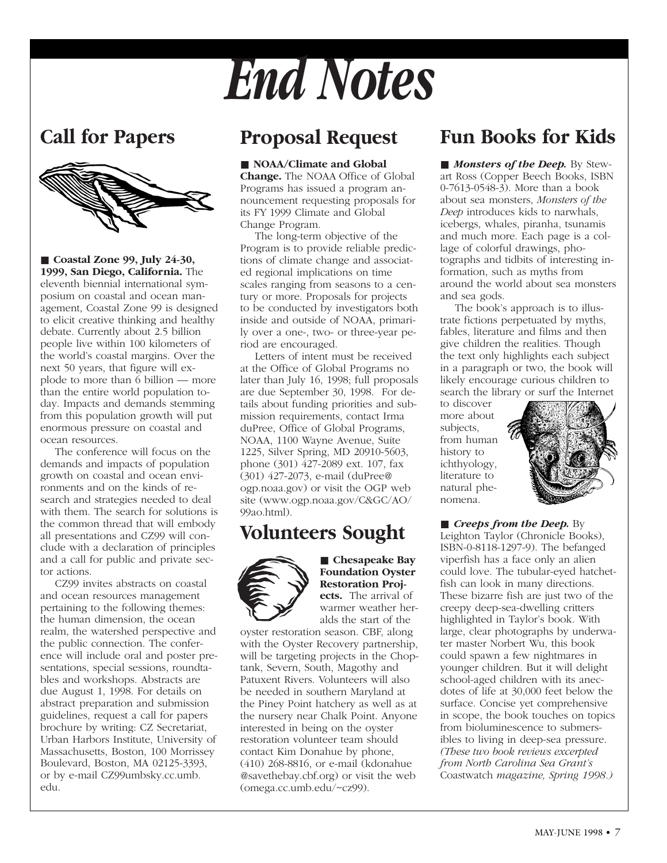# **Call for Papers**



■ **Coastal Zone 99, July 24-30, 1999, San Diego, California.** The eleventh biennial international symposium on coastal and ocean management, Coastal Zone 99 is designed to elicit creative thinking and healthy debate. Currently about 2.5 billion people live within 100 kilometers of the world's coastal margins. Over the next 50 years, that figure will explode to more than 6 billion — more than the entire world population today. Impacts and demands stemming from this population growth will put enormous pressure on coastal and ocean resources.

The conference will focus on the demands and impacts of population growth on coastal and ocean environments and on the kinds of research and strategies needed to deal with them. The search for solutions is the common thread that will embody all presentations and CZ99 will conclude with a declaration of principles and a call for public and private sector actions.

CZ99 invites abstracts on coastal and ocean resources management pertaining to the following themes: the human dimension, the ocean realm, the watershed perspective and the public connection. The conference will include oral and poster presentations, special sessions, roundtables and workshops. Abstracts are due August 1, 1998. For details on abstract preparation and submission guidelines, request a call for papers brochure by writing: CZ Secretariat, Urban Harbors Institute, University of Massachusetts, Boston, 100 Morrissey Boulevard, Boston, MA 02125-3393, or by e-mail CZ99umbsky.cc.umb. edu.

### **Proposal Request**

*End Notes*

### ■ **NOAA/Climate and Global**

**Change.** The NOAA Office of Global Programs has issued a program announcement requesting proposals for its FY 1999 Climate and Global Change Program.

The long-term objective of the Program is to provide reliable predictions of climate change and associated regional implications on time scales ranging from seasons to a century or more. Proposals for projects to be conducted by investigators both inside and outside of NOAA, primarily over a one-, two- or three-year period are encouraged.

Letters of intent must be received at the Office of Global Programs no later than July 16, 1998; full proposals are due September 30, 1998. For details about funding priorities and submission requirements, contact Irma duPree, Office of Global Programs, NOAA, 1100 Wayne Avenue, Suite 1225, Silver Spring, MD 20910-5603, phone (301) 427-2089 ext. 107, fax (301) 427-2073, e-mail (duPree@ ogp.noaa.gov) or visit the OGP web site (www.ogp.noaa.gov/C&GC/AO/ 99ao.html).

### **Volunteers Sought**



■ **Chesapeake Bay Foundation Oyster Restoration Projects.** The arrival of warmer weather heralds the start of the

oyster restoration season. CBF, along with the Oyster Recovery partnership, will be targeting projects in the Choptank, Severn, South, Magothy and Patuxent Rivers. Volunteers will also be needed in southern Maryland at the Piney Point hatchery as well as at the nursery near Chalk Point. Anyone interested in being on the oyster restoration volunteer team should contact Kim Donahue by phone, (410) 268-8816, or e-mail (kdonahue @savethebay.cbf.org) or visit the web (omega.cc.umb.edu/~cz99).

# **Fun Books for Kids**

■ *Monsters of the Deep*. By Stewart Ross (Copper Beech Books, ISBN 0-7613-0548-3). More than a book about sea monsters, *Monsters of the Deep* introduces kids to narwhals, icebergs, whales, piranha, tsunamis and much more. Each page is a collage of colorful drawings, photographs and tidbits of interesting information, such as myths from around the world about sea monsters and sea gods.

The book's approach is to illustrate fictions perpetuated by myths, fables, literature and films and then give children the realities. Though the text only highlights each subject in a paragraph or two, the book will likely encourage curious children to search the library or surf the Internet

to discover more about subjects, from human history to ichthyology, literature to natural phenomena.



■ *Creeps from the Deep.* By Leighton Taylor (Chronicle Books), ISBN-0-8118-1297-9). The befanged viperfish has a face only an alien could love. The tubular-eyed hatchetfish can look in many directions. These bizarre fish are just two of the creepy deep-sea-dwelling critters highlighted in Taylor's book. With large, clear photographs by underwater master Norbert Wu, this book could spawn a few nightmares in younger children. But it will delight school-aged children with its anecdotes of life at 30,000 feet below the surface. Concise yet comprehensive in scope, the book touches on topics from bioluminescence to submersibles to living in deep-sea pressure. *(These two book reviews excerpted from North Carolina Sea Grant's* Coastwatch *magazine, Spring 1998.)*